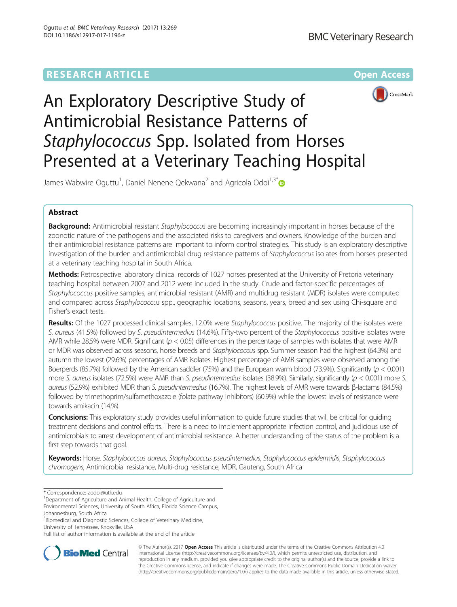# **RESEARCH ARTICLE Example 2014 12:30 The Contract of Contract Article 2014**



# An Exploratory Descriptive Study of Antimicrobial Resistance Patterns of Staphylococcus Spp. Isolated from Horses Presented at a Veterinary Teaching Hospital

James Wabwire Oguttu<sup>1</sup>, Daniel Nenene Qekwana<sup>2</sup> and Agricola Odoi<sup>1,3\*</sup>

# Abstract

Background: Antimicrobial resistant Staphylococcus are becoming increasingly important in horses because of the zoonotic nature of the pathogens and the associated risks to caregivers and owners. Knowledge of the burden and their antimicrobial resistance patterns are important to inform control strategies. This study is an exploratory descriptive investigation of the burden and antimicrobial drug resistance patterns of Staphylococcus isolates from horses presented at a veterinary teaching hospital in South Africa.

Methods: Retrospective laboratory clinical records of 1027 horses presented at the University of Pretoria veterinary teaching hospital between 2007 and 2012 were included in the study. Crude and factor-specific percentages of Staphylococcus positive samples, antimicrobial resistant (AMR) and multidrug resistant (MDR) isolates were computed and compared across Staphylococcus spp., geographic locations, seasons, years, breed and sex using Chi-square and Fisher's exact tests.

Results: Of the 1027 processed clinical samples, 12.0% were Staphylococcus positive. The majority of the isolates were S. aureus (41.5%) followed by S. pseudintermedius (14.6%). Fifty-two percent of the Staphylococcus positive isolates were AMR while 28.5% were MDR. Significant ( $p < 0.05$ ) differences in the percentage of samples with isolates that were AMR or MDR was observed across seasons, horse breeds and Staphylococcus spp. Summer season had the highest (64.3%) and autumn the lowest (29.6%) percentages of AMR isolates. Highest percentage of AMR samples were observed among the Boerperds (85.7%) followed by the American saddler (75%) and the European warm blood (73.9%). Significantly ( $p < 0.001$ ) more S. aureus isolates (72.5%) were AMR than S. pseudintermedius isolates (38.9%). Similarly, significantly ( $p < 0.001$ ) more S. aureus (52.9%) exhibited MDR than S. pseudintermedius (16.7%). The highest levels of AMR were towards β-lactams (84.5%) followed by trimethoprim/sulfamethoxazole (folate pathway inhibitors) (60.9%) while the lowest levels of resistance were towards amikacin (14.%).

Conclusions: This exploratory study provides useful information to guide future studies that will be critical for guiding treatment decisions and control efforts. There is a need to implement appropriate infection control, and judicious use of antimicrobials to arrest development of antimicrobial resistance. A better understanding of the status of the problem is a first step towards that goal.

Keywords: Horse, Staphylococcus aureus, Staphylococcus pseudintemedius, Staphylococcus epidermidis, Staphylococcus chromogens, Antimicrobial resistance, Multi-drug resistance, MDR, Gauteng, South Africa

\* Correspondence: [aodoi@utk.edu](mailto:aodoi@utk.edu) <sup>1</sup>

<sup>1</sup>Department of Agriculture and Animal Health, College of Agriculture and

Environmental Sciences, University of South Africa, Florida Science Campus, Johannesburg, South Africa

<sup>3</sup>Biomedical and Diagnostic Sciences, College of Veterinary Medicine,

University of Tennessee, Knoxville, USA

Full list of author information is available at the end of the article



© The Author(s). 2017 **Open Access** This article is distributed under the terms of the Creative Commons Attribution 4.0 International License [\(http://creativecommons.org/licenses/by/4.0/](http://creativecommons.org/licenses/by/4.0/)), which permits unrestricted use, distribution, and reproduction in any medium, provided you give appropriate credit to the original author(s) and the source, provide a link to the Creative Commons license, and indicate if changes were made. The Creative Commons Public Domain Dedication waiver [\(http://creativecommons.org/publicdomain/zero/1.0/](http://creativecommons.org/publicdomain/zero/1.0/)) applies to the data made available in this article, unless otherwise stated.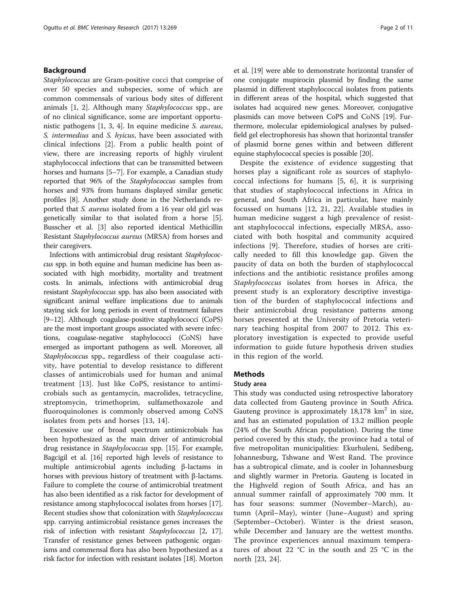# Background

Staphylococcus are Gram-positive cocci that comprise of over 50 species and subspecies, some of which are common commensals of various body sites of different animals [\[1](#page-9-0), [2\]](#page-9-0). Although many Staphylococcus spp., are of no clinical significance, some are important opportunistic pathogens [[1, 3](#page-9-0), [4](#page-9-0)]. In equine medicine S. aureus, S. intermedius and S. hyicus, have been associated with clinical infections [[2\]](#page-9-0). From a public health point of view, there are increasing reports of highly virulent staphylococcal infections that can be transmitted between horses and humans [\[5](#page-9-0)–[7](#page-9-0)]. For example, a Canadian study reported that 96% of the Staphylococcus samples from horses and 93% from humans displayed similar genetic profiles [[8\]](#page-9-0). Another study done in the Netherlands reported that S. aureus isolated from a 16 year old girl was genetically similar to that isolated from a horse [[5](#page-9-0)]. Busscher et al. [[3](#page-9-0)] also reported identical Methicillin Resistant Staphylococcus aureus (MRSA) from horses and their caregivers.

Infections with antimicrobial drug resistant Staphylococcus spp. in both equine and human medicine has been associated with high morbidity, mortality and treatment costs. In animals, infections with antimicrobial drug resistant Staphylococcus spp. has also been associated with significant animal welfare implications due to animals staying sick for long periods in event of treatment failures [[9](#page-9-0)–[12\]](#page-9-0). Although coagulase-positive staphylococci (CoPS) are the most important groups associated with severe infections, coagulase-negative staphylococci (CoNS) have emerged as important pathogens as well. Moreover, all Staphylococcus spp., regardless of their coagulase activity, have potential to develop resistance to different classes of antimicrobials used for human and animal treatment [\[13](#page-9-0)]. Just like CoPS, resistance to antimicrobials such as gentamycin, macrolides, tetracycline, streptomycin, trimethoprim, sulfamethoxazole and fluoroquinolones is commonly observed among CoNS isolates from pets and horses [\[13](#page-9-0), [14](#page-9-0)].

Excessive use of broad spectrum antimicrobials has been hypothesized as the main driver of antimicrobial drug resistance in Staphylococcus spp. [\[15\]](#page-9-0). For example, Bagcigil et al. [\[16\]](#page-9-0) reported high levels of resistance to multiple antimicrobial agents including β-lactams in horses with previous history of treatment with β-lactams. Failure to complete the course of antimicrobial treatment has also been identified as a risk factor for development of resistance among staphylococcal isolates from horses [[17](#page-9-0)]. Recent studies show that colonization with Staphylococcus spp. carrying antimicrobial resistance genes increases the risk of infection with resistant Staphylococcus [\[2, 17](#page-9-0)]. Transfer of resistance genes between pathogenic organisms and commensal flora has also been hypothesized as a risk factor for infection with resistant isolates [\[18\]](#page-9-0). Morton et al. [[19](#page-9-0)] were able to demonstrate horizontal transfer of one conjugate mupirocin plasmid by finding the same plasmid in different staphylococcal isolates from patients in different areas of the hospital, which suggested that isolates had acquired new genes. Moreover, conjugative plasmids can move between CoPS and CoNS [\[19\]](#page-9-0). Furthermore, molecular epidemiological analyses by pulsedfield gel electrophoresis has shown that horizontal transfer of plasmid borne genes within and between different equine staphylococcal species is possible [[20](#page-9-0)].

Despite the existence of evidence suggesting that horses play a significant role as sources of staphylococcal infections for humans [[5](#page-9-0), [6](#page-9-0)], it is surprising that studies of staphylococcal infections in Africa in general, and South Africa in particular, have mainly focussed on humans [[12, 21, 22\]](#page-9-0). Available studies in human medicine suggest a high prevalence of resistant staphylococcal infections, especially MRSA, associated with both hospital and community acquired infections [\[9](#page-9-0)]. Therefore, studies of horses are critically needed to fill this knowledge gap. Given the paucity of data on both the burden of staphylococcal infections and the antibiotic resistance profiles among Staphylococcus isolates from horses in Africa, the present study is an exploratory descriptive investigation of the burden of staphylococcal infections and their antimicrobial drug resistance patterns among horses presented at the University of Pretoria veterinary teaching hospital from 2007 to 2012. This exploratory investigation is expected to provide useful information to guide future hypothesis driven studies in this region of the world.

# **Methods**

#### Study area

This study was conducted using retrospective laboratory data collected from Gauteng province in South Africa. Gauteng province is approximately  $18,178$  km<sup>2</sup> in size, and has an estimated population of 13.2 million people (24% of the South African population). During the time period covered by this study, the province had a total of five metropolitan municipalities: Ekurhuleni, Sedibeng, Johannesburg, Tshwane and West Rand. The province has a subtropical climate, and is cooler in Johannesburg and slightly warmer in Pretoria. Gauteng is located in the Highveld region of South Africa, and has an annual summer rainfall of approximately 700 mm. It has four seasons: summer (November–March), autumn (April–May), winter (June–August) and spring (September–October). Winter is the driest season, while December and January are the wettest months. The province experiences annual maximum temperatures of about 22 °C in the south and 25 °C in the north [[23](#page-9-0), [24](#page-9-0)].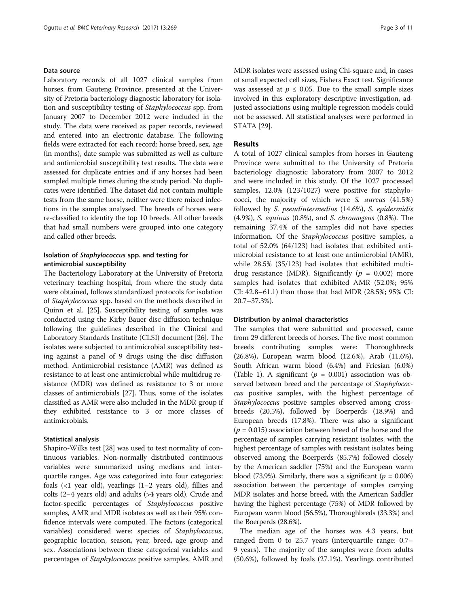### Data source

Laboratory records of all 1027 clinical samples from horses, from Gauteng Province, presented at the University of Pretoria bacteriology diagnostic laboratory for isolation and susceptibility testing of Staphylococcus spp. from January 2007 to December 2012 were included in the study. The data were received as paper records, reviewed and entered into an electronic database. The following fields were extracted for each record: horse breed, sex, age (in months), date sample was submitted as well as culture and antimicrobial susceptibility test results. The data were assessed for duplicate entries and if any horses had been sampled multiple times during the study period. No duplicates were identified. The dataset did not contain multiple tests from the same horse, neither were there mixed infections in the samples analysed. The breeds of horses were re-classified to identify the top 10 breeds. All other breeds that had small numbers were grouped into one category and called other breeds.

# Isolation of Staphylococcus spp. and testing for antimicrobial susceptibility

The Bacteriology Laboratory at the University of Pretoria veterinary teaching hospital, from where the study data were obtained, follows standardized protocols for isolation of Staphylococcus spp. based on the methods described in Quinn et al. [[25\]](#page-9-0). Susceptibility testing of samples was conducted using the Kirby Bauer disc diffusion technique following the guidelines described in the Clinical and Laboratory Standards Institute (CLSI) document [\[26\]](#page-9-0). The isolates were subjected to antimicrobial susceptibility testing against a panel of 9 drugs using the disc diffusion method. Antimicrobial resistance (AMR) was defined as resistance to at least one antimicrobial while multidrug resistance (MDR) was defined as resistance to 3 or more classes of antimicrobials [[27](#page-9-0)]. Thus, some of the isolates classified as AMR were also included in the MDR group if they exhibited resistance to 3 or more classes of antimicrobials.

# Statistical analysis

Shapiro-Wilks test [\[28\]](#page-9-0) was used to test normality of continuous variables. Non-normally distributed continuous variables were summarized using medians and interquartile ranges. Age was categorized into four categories: foals (<1 year old), yearlings (1–2 years old), fillies and colts (2–4 years old) and adults (>4 years old). Crude and factor-specific percentages of Staphylococcus positive samples, AMR and MDR isolates as well as their 95% confidence intervals were computed. The factors (categorical variables) considered were: species of Staphylococcus, geographic location, season, year, breed, age group and sex. Associations between these categorical variables and percentages of Staphylococcus positive samples, AMR and MDR isolates were assessed using Chi-square and, in cases of small expected cell sizes, Fishers Exact test. Significance was assessed at  $p \leq 0.05$ . Due to the small sample sizes involved in this exploratory descriptive investigation, adjusted associations using multiple regression models could not be assessed. All statistical analyses were performed in STATA [\[29\]](#page-9-0).

### Results

A total of 1027 clinical samples from horses in Gauteng Province were submitted to the University of Pretoria bacteriology diagnostic laboratory from 2007 to 2012 and were included in this study. Of the 1027 processed samples, 12.0% (123/1027) were positive for staphylococci, the majority of which were S. aureus (41.5%) followed by S. pseudintermedius (14.6%), S. epidermidis (4.9%), S. equinus (0.8%), and S. chromogens (0.8%). The remaining 37.4% of the samples did not have species information. Of the *Staphylococcus* positive samples, a total of 52.0% (64/123) had isolates that exhibited antimicrobial resistance to at least one antimicrobial (AMR), while 28.5% (35/123) had isolates that exhibited multidrug resistance (MDR). Significantly ( $p = 0.002$ ) more samples had isolates that exhibited AMR (52.0%; 95% CI: 42.8–61.1) than those that had MDR (28.5%; 95% CI: 20.7–37.3%).

#### Distribution by animal characteristics

The samples that were submitted and processed, came from 29 different breeds of horses. The five most common breeds contributing samples were: Thoroughbreds (26.8%), European warm blood (12.6%), Arab (11.6%), South African warm blood (6.4%) and Friesian (6.0%) (Table [1\)](#page-3-0). A significant ( $p = 0.001$ ) association was observed between breed and the percentage of Staphylococcus positive samples, with the highest percentage of Staphylococcus positive samples observed among crossbreeds (20.5%), followed by Boerperds (18.9%) and European breeds (17.8%). There was also a significant  $(p = 0.015)$  association between breed of the horse and the percentage of samples carrying resistant isolates, with the highest percentage of samples with resistant isolates being observed among the Boerperds (85.7%) followed closely by the American saddler (75%) and the European warm blood (73.9%). Similarly, there was a significant ( $p = 0.006$ ) association between the percentage of samples carrying MDR isolates and horse breed, with the American Saddler having the highest percentage (75%) of MDR followed by European warm blood (56.5%), Thoroughbreds (33.3%) and the Boerperds (28.6%).

The median age of the horses was 4.3 years, but ranged from 0 to 25.7 years (interquartile range: 0.7– 9 years). The majority of the samples were from adults (50.6%), followed by foals (27.1%). Yearlings contributed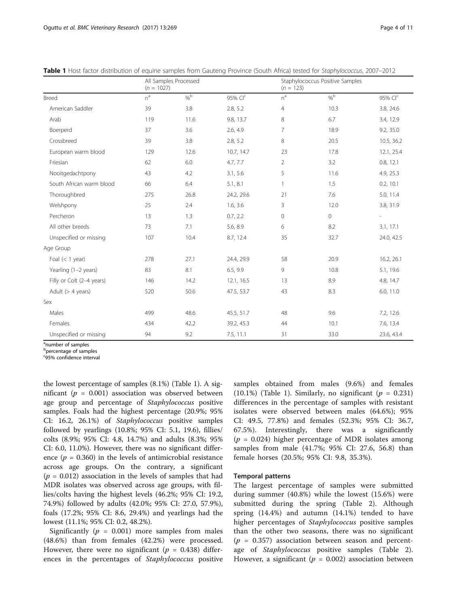|                           | $(n = 1027)$ | All Samples Processed |            | Staphylococcus Positive Samples<br>$(n = 123)$ |        |            |
|---------------------------|--------------|-----------------------|------------|------------------------------------------------|--------|------------|
| Breed                     | $n^a$        | $\%^{\mathsf{b}}$     | 95% CIC    | $n^a$                                          | $\%$ b | 95% CIC    |
| American Saddler          | 39           | 3.8                   | 2.8, 5.2   | $\overline{4}$                                 | 10.3   | 3.8, 24.6  |
| Arab                      | 119          | 11.6                  | 9.8, 13.7  | $\,8\,$                                        | 6.7    | 3.4, 12.9  |
| Boerperd                  | 37           | 3.6                   | 2.6, 4.9   | $\overline{7}$                                 | 18.9   | 9.2, 35.0  |
| Crossbreed                | 39           | 3.8                   | 2.8, 5.2   | $\,8\,$                                        | 20.5   | 10.5, 36.2 |
| European warm blood       | 129          | 12.6                  | 10.7, 14.7 | 23                                             | 17.8   | 12.1, 25.4 |
| Friesian                  | 62           | 6.0                   | 4.7, 7.7   | $\overline{2}$                                 | 3.2    | 0.8, 12.1  |
| Nooitgedachtpony          | 43           | 4.2                   | 3.1, 5.6   | 5                                              | 11.6   | 4.9, 25.3  |
| South African warm blood  | 66           | 6.4                   | 5.1, 8.1   | $\mathbf{1}$                                   | 1.5    | 0.2, 10.1  |
| Thoroughbred              | 275          | 26.8                  | 24.2, 29.6 | 21                                             | 7.6    | 5.0, 11.4  |
| Welshpony                 | 25           | 2.4                   | 1.6, 3.6   | 3                                              | 12.0   | 3.8, 31.9  |
| Percheron                 | 13           | 1.3                   | 0.7, 2.2   | $\mathsf{O}\xspace$                            | 0      | $\equiv$   |
| All other breeds          | 73           | 7.1                   | 5.6, 8.9   | 6                                              | 8.2    | 3.1, 17.1  |
| Unspecified or missing    | 107          | 10.4                  | 8.7, 12.4  | 35                                             | 32.7   | 24.0, 42.5 |
| Age Group                 |              |                       |            |                                                |        |            |
| Foal $(< 1$ year)         | 278          | 27.1                  | 24.4, 29.9 | 58                                             | 20.9   | 16.2, 26.1 |
| Yearling (1-2 years)      | 83           | 8.1                   | 6.5, 9.9   | 9                                              | 10.8   | 5.1, 19.6  |
| Filly or Colt (2-4 years) | 146          | 14.2                  | 12.1, 16.5 | 13                                             | 8.9    | 4.8, 14.7  |
| Adult ( $>$ 4 years)      | 520          | 50.6                  | 47.5, 53.7 | 43                                             | 8.3    | 6.0, 11.0  |
| Sex                       |              |                       |            |                                                |        |            |
| Males                     | 499          | 48.6                  | 45.5, 51.7 | 48                                             | 9.6    | 7.2, 12.6  |
| Females                   | 434          | 42.2                  | 39.2, 45.3 | 44                                             | 10.1   | 7.6, 13.4  |
| Unspecified or missing    | 94           | 9.2                   | 7.5, 11.1  | 31                                             | 33.0   | 23.6, 43.4 |

<span id="page-3-0"></span>Table 1 Host factor distribution of equine samples from Gauteng Province (South Africa) tested for Staphylococcus, 2007–2012

<sup>a</sup>number of samples

**b** percentage of samples

c 95% confidence interval

the lowest percentage of samples (8.1%) (Table 1). A significant ( $p = 0.001$ ) association was observed between age group and percentage of Staphylococcus positive samples. Foals had the highest percentage (20.9%; 95% CI: 16.2, 26.1%) of Staphylococcus positive samples followed by yearlings (10.8%; 95% CI: 5.1, 19.6), fillies/ colts (8.9%; 95% CI: 4.8, 14.7%) and adults (8.3%; 95% CI: 6.0, 11.0%). However, there was no significant difference ( $p = 0.360$ ) in the levels of antimicrobial resistance across age groups. On the contrary, a significant  $(p = 0.012)$  association in the levels of samples that had MDR isolates was observed across age groups, with fillies/colts having the highest levels (46.2%; 95% CI: 19.2, 74.9%) followed by adults (42.0%; 95% CI: 27.0, 57.9%), foals (17.2%; 95% CI: 8.6, 29.4%) and yearlings had the lowest (11.1%; 95% CI: 0.2, 48.2%).

Significantly ( $p = 0.001$ ) more samples from males (48.6%) than from females (42.2%) were processed. However, there were no significant ( $p = 0.438$ ) differences in the percentages of Staphylococcus positive

samples obtained from males (9.6%) and females (10.1%) (Table 1). Similarly, no significant ( $p = 0.231$ ) differences in the percentage of samples with resistant isolates were observed between males (64.6%); 95% CI: 49.5, 77.8%) and females (52.3%; 95% CI: 36.7, 67.5%). Interestingly, there was a significantly ( $p = 0.024$ ) higher percentage of MDR isolates among samples from male (41.7%; 95% CI: 27.6, 56.8) than female horses (20.5%; 95% CI: 9.8, 35.3%).

#### Temporal patterns

The largest percentage of samples were submitted during summer (40.8%) while the lowest (15.6%) were submitted during the spring (Table [2\)](#page-4-0). Although spring (14.4%) and autumn (14.1%) tended to have higher percentages of Staphylococcus positive samples than the other two seasons, there was no significant  $(p = 0.357)$  association between season and percentage of *Staphylococcus* positive samples (Table [2](#page-4-0)). However, a significant ( $p = 0.002$ ) association between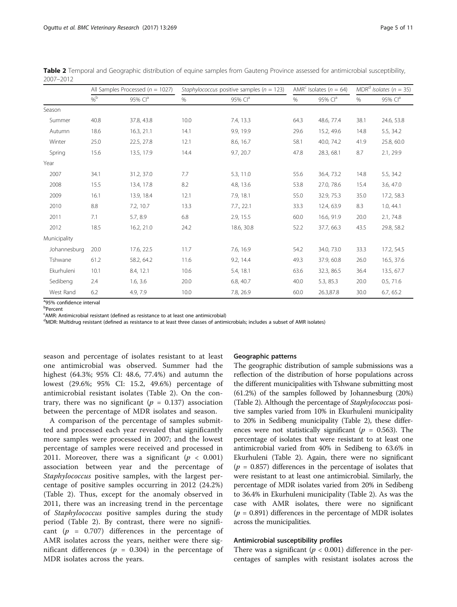<sup>a</sup>95% confidence interval

<sup>b</sup>Percent

<sup>c</sup>AMR: Antimicrobial resistant (defined as resistance to at least one antimicrobial)

<sup>d</sup>MDR: Multidrug resistant (defined as resistance to at least three classes of antimicrobials; includes a subset of AMR isolates)

season and percentage of isolates resistant to at least one antimicrobial was observed. Summer had the highest (64.3%; 95% CI: 48.6, 77.4%) and autumn the lowest (29.6%; 95% CI: 15.2, 49.6%) percentage of antimicrobial resistant isolates (Table 2). On the contrary, there was no significant ( $p = 0.137$ ) association between the percentage of MDR isolates and season.

A comparison of the percentage of samples submitted and processed each year revealed that significantly more samples were processed in 2007; and the lowest percentage of samples were received and processed in 2011. Moreover, there was a significant ( $p < 0.001$ ) association between year and the percentage of Staphylococcus positive samples, with the largest percentage of positive samples occurring in 2012 (24.2%) (Table 2). Thus, except for the anomaly observed in 2011, there was an increasing trend in the percentage of Staphylococcus positive samples during the study period (Table 2). By contrast, there were no significant ( $p = 0.707$ ) differences in the percentage of AMR isolates across the years, neither were there significant differences ( $p = 0.304$ ) in the percentage of MDR isolates across the years.

# Geographic patterns

The geographic distribution of sample submissions was a reflection of the distribution of horse populations across the different municipalities with Tshwane submitting most (61.2%) of the samples followed by Johannesburg (20%) (Table 2). Although the percentage of Staphylococcus positive samples varied from 10% in Ekurhuleni municipality to 20% in Sedibeng municipality (Table 2), these differences were not statistically significant ( $p = 0.563$ ). The percentage of isolates that were resistant to at least one antimicrobial varied from 40% in Sedibeng to 63.6% in Ekurhuleni (Table 2). Again, there were no significant  $(p = 0.857)$  differences in the percentage of isolates that were resistant to at least one antimicrobial. Similarly, the percentage of MDR isolates varied from 20% in Sedibeng to 36.4% in Ekurhuleni municipality (Table 2). As was the case with AMR isolates, there were no significant  $(p = 0.891)$  differences in the percentage of MDR isolates across the municipalities.

# Antimicrobial susceptibility profiles

There was a significant ( $p < 0.001$ ) difference in the percentages of samples with resistant isolates across the

<span id="page-4-0"></span>

| 2007-2012 |     |           |                                                                                                                                                                  | Table 2 Temporal and Geographic distribution of equine samples from Gauteng Province assessed for antimicrobial susceptibility, |  |           |      |            |
|-----------|-----|-----------|------------------------------------------------------------------------------------------------------------------------------------------------------------------|---------------------------------------------------------------------------------------------------------------------------------|--|-----------|------|------------|
|           |     |           | All Samples Processed ( $n = 1027$ ) Staphylococcus positive samples ( $n = 123$ ) AMR <sup>c</sup> Isolates ( $n = 64$ ) MDR <sup>d</sup> Isolates ( $n = 35$ ) |                                                                                                                                 |  |           |      |            |
|           | 0‰¤ | 95% $Cla$ | $\%$                                                                                                                                                             | 95% Cl <sup>a</sup>                                                                                                             |  | 95% $Cld$ | $\%$ | 95% $Cl^a$ |

|              |                     | All Sattiples Processed $(n = 1027)$ | Staphylococcus positive samples $(n = 123)$ |                     | AIVIK ISOIDLES $(I) = 04$ |                     | $NUDK$ <i>ISOIGLES</i> $(n = 35)$ |                     |
|--------------|---------------------|--------------------------------------|---------------------------------------------|---------------------|---------------------------|---------------------|-----------------------------------|---------------------|
|              | $\overline{\%^{b}}$ | 95% Cl <sup>a</sup>                  | $\%$                                        | 95% Cl <sup>a</sup> | %                         | 95% Cl <sup>a</sup> | $\%$                              | 95% Cl <sup>a</sup> |
| Season       |                     |                                      |                                             |                     |                           |                     |                                   |                     |
| Summer       | 40.8                | 37.8, 43.8                           | 10.0                                        | 7.4, 13.3           | 64.3                      | 48.6, 77.4          | 38.1                              | 24.6, 53.8          |
| Autumn       | 18.6                | 16.3, 21.1                           | 14.1                                        | 9.9, 19.9           | 29.6                      | 15.2, 49.6          | 14.8                              | 5.5, 34.2           |
| Winter       | 25.0                | 22.5, 27.8                           | 12.1                                        | 8.6, 16.7           | 58.1                      | 40.0, 74.2          | 41.9                              | 25.8, 60.0          |
| Spring       | 15.6                | 13.5, 17.9                           | 14.4                                        | 9.7, 20.7           | 47.8                      | 28.3, 68.1          | 8.7                               | 2.1, 29.9           |
| Year         |                     |                                      |                                             |                     |                           |                     |                                   |                     |
| 2007         | 34.1                | 31.2, 37.0                           | 7.7                                         | 5.3, 11.0           | 55.6                      | 36.4, 73.2          | 14.8                              | 5.5, 34.2           |
| 2008         | 15.5                | 13.4, 17.8                           | 8.2                                         | 4.8, 13.6           | 53.8                      | 27.0, 78.6          | 15.4                              | 3.6, 47.0           |
| 2009         | 16.1                | 13.9, 18.4                           | 12.1                                        | 7.9, 18.1           | 55.0                      | 32.9, 75.3          | 35.0                              | 17.2, 58.3          |
| 2010         | 8.8                 | 7.2, 10.7                            | 13.3                                        | 7.7, 22.1           | 33.3                      | 12.4, 63.9          | 8.3                               | 1.0, 44.1           |
| 2011         | 7.1                 | 5.7, 8.9                             | 6.8                                         | 2.9, 15.5           | 60.0                      | 16.6, 91.9          | 20.0                              | 2.1, 74.8           |
| 2012         | 18.5                | 16.2, 21.0                           | 24.2                                        | 18.6, 30.8          | 52.2                      | 37.7, 66.3          | 43.5                              | 29.8, 58.2          |
| Municipality |                     |                                      |                                             |                     |                           |                     |                                   |                     |
| Johannesburg | 20.0                | 17.6, 22.5                           | 11.7                                        | 7.6, 16.9           | 54.2                      | 34.0, 73.0          | 33.3                              | 17.2, 54.5          |
| Tshwane      | 61.2                | 58.2, 64.2                           | 11.6                                        | 9.2, 14.4           | 49.3                      | 37.9, 60.8          | 26.0                              | 16.5, 37.6          |
| Ekurhuleni   | 10.1                | 8.4, 12.1                            | 10.6                                        | 5.4, 18.1           | 63.6                      | 32.3, 86.5          | 36.4                              | 13.5, 67.7          |
| Sedibeng     | 2.4                 | 1.6, 3.6                             | 20.0                                        | 6.8, 40.7           | 40.0                      | 5.3, 85.3           | 20.0                              | 0.5, 71.6           |
| West Rand    | 6.2                 | 4.9, 7.9                             | 10.0                                        | 7.8, 26.9           | 60.0                      | 26.3,87.8           | 30.0                              | 6.7, 65.2           |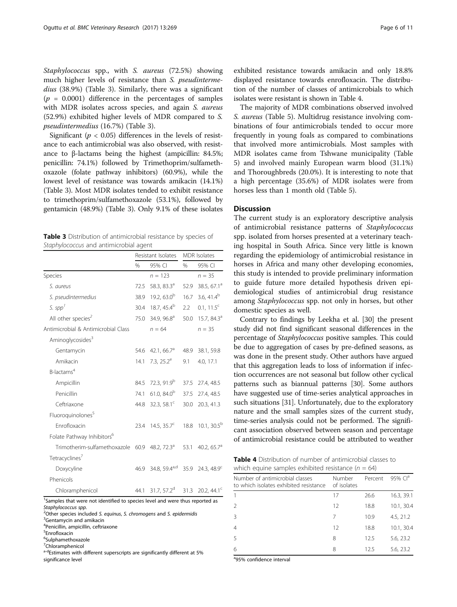Staphylococcus spp., with S. aureus (72.5%) showing much higher levels of resistance than S. pseudintermedius (38.9%) (Table 3). Similarly, there was a significant  $(p = 0.0001)$  difference in the percentages of samples with MDR isolates across species, and again S. aureus (52.9%) exhibited higher levels of MDR compared to S. pseudintermedius (16.7%) (Table 3).

Significant ( $p < 0.05$ ) differences in the levels of resistance to each antimicrobial was also observed, with resistance to β-lactams being the highest (ampicillin: 84.5%; penicillin: 74.1%) followed by Trimethoprim/sulfamethoxazole (folate pathway inhibitors) (60.9%), while the lowest level of resistance was towards amikacin (14.1%) (Table 3). Most MDR isolates tended to exhibit resistance to trimethoprim/sulfamethoxazole (53.1%), followed by gentamicin (48.9%) (Table 3). Only 9.1% of these isolates

| <b>Table 3</b> Distribution of antimicrobial resistance by species of |  |  |
|-----------------------------------------------------------------------|--|--|
| Staphylococcus and antimicrobial agent                                |  |  |

|                                                           |      | Resistant Isolates                                        | <b>MDR</b> Isolates |                              |
|-----------------------------------------------------------|------|-----------------------------------------------------------|---------------------|------------------------------|
|                                                           | $\%$ | 95% CI                                                    | %                   | 95% CI                       |
| Species                                                   |      | $n = 123$                                                 |                     | $n = 35$                     |
| S. aureus                                                 |      | 72.5 58.3, 83.3 <sup>a</sup>                              | 52.9                | 38.5, $67.1a$                |
| S. pseudintermedius                                       | 38.9 | 19.2, 63.0 <sup>b</sup>                                   | 16.7                | 3.6, 41.4 $^{b}$             |
| S. $spp'$                                                 |      | 30.4 18.7, 45.4 <sup>b</sup>                              | $2.2 -$             | $0.1, 11.5^c$                |
| All other species <sup>2</sup>                            |      | 75.0 34.9, 96.8 <sup>a</sup>                              |                     | 50.0 15.7, 84.3 <sup>a</sup> |
| Antimicrobial & Antimicrobial Class                       |      | $n = 64$                                                  |                     | $n = 35$                     |
| Aminoglycosides <sup>3</sup>                              |      |                                                           |                     |                              |
| Gentamycin                                                |      | 54.6 42.1, 66.7 <sup>a</sup>                              | 48.9                | 38.1, 59.8                   |
| Amikacin                                                  | 14.1 | 7.3, $25.2^e$                                             | 9.1                 | 4.0, 17.1                    |
| B-lactams <sup>4</sup>                                    |      |                                                           |                     |                              |
| Ampicillin                                                | 84.5 | 72.3, 91.9 <sup>b</sup>                                   | 37.5                | 27.4, 48.5                   |
| Penicillin                                                | 74.1 | 61.0, 84.0 <sup>b</sup>                                   | 37.5                | 27.4, 48.5                   |
| Ceftriaxone                                               |      | 44.8 32.3, 58.1 <sup>c</sup>                              | 30.0                | 20.3, 41.3                   |
| Fluoroquinolones <sup>5</sup>                             |      |                                                           |                     |                              |
| <b>Enrofloxacin</b>                                       |      | 23.4 14.5, 35.7 <sup>c</sup>                              | 18.8                | $10.1, 30.5^{\rm b}$         |
| Folate Pathway Inhibitors <sup>6</sup>                    |      |                                                           |                     |                              |
| Trimotherim-sulfamethoxazole 60.9 48.2, 72.3 <sup>a</sup> |      |                                                           |                     | 53.1 40.2, 65.7 <sup>a</sup> |
| Tetracyclines <sup>7</sup>                                |      |                                                           |                     |                              |
| Doxycyline                                                | 46.9 | 34.8, 59.4 $a$ <sup>a,d</sup>                             |                     | 35.9 24.3, 48.9 <sup>c</sup> |
| Phenicols                                                 |      |                                                           |                     |                              |
| Chloramphenicol                                           |      | 44.1 31.7, 57.2 <sup>d</sup> 31.3 20.2, 44.1 <sup>c</sup> |                     |                              |

<sup>1</sup>Samples that were not identified to species level and were thus reported as Staphylococcus spp.

- 6 Sulphamethoxazole
- 7 Chloramphenicol

a-dEstimates with different superscripts are significantly different at 5% significance level

exhibited resistance towards amikacin and only 18.8% displayed resistance towards enrofloxacin. The distribution of the number of classes of antimicrobials to which isolates were resistant is shown in Table 4.

The majority of MDR combinations observed involved S. aureus (Table [5](#page-6-0)). Multidrug resistance involving combinations of four antimicrobials tended to occur more frequently in young foals as compared to combinations that involved more antimicrobials. Most samples with MDR isolates came from Tshwane municipality (Table [5\)](#page-6-0) and involved mainly European warm blood (31.1%) and Thoroughbreds (20.0%). It is interesting to note that a high percentage (35.6%) of MDR isolates were from horses less than 1 month old (Table [5](#page-6-0)).

# **Discussion**

The current study is an exploratory descriptive analysis of antimicrobial resistance patterns of Staphylococcus spp. isolated from horses presented at a veterinary teaching hospital in South Africa. Since very little is known regarding the epidemiology of antimicrobial resistance in horses in Africa and many other developing economies, this study is intended to provide preliminary information to guide future more detailed hypothesis driven epidemiological studies of antimicrobial drug resistance among Staphylococcus spp. not only in horses, but other domestic species as well.

Contrary to findings by Leekha et al. [\[30\]](#page-9-0) the present study did not find significant seasonal differences in the percentage of Staphylococcus positive samples. This could be due to aggregation of cases by pre-defined seasons, as was done in the present study. Other authors have argued that this aggregation leads to loss of information if infection occurrences are not seasonal but follow other cyclical patterns such as biannual patterns [[30](#page-9-0)]. Some authors have suggested use of time-series analytical approaches in such situations [\[31](#page-9-0)]. Unfortunately, due to the exploratory nature and the small samples sizes of the current study, time-series analysis could not be performed. The significant association observed between season and percentage of antimicrobial resistance could be attributed to weather

|  | <b>Table 4</b> Distribution of number of antimicrobial classes to |  |  |  |
|--|-------------------------------------------------------------------|--|--|--|
|  | which equine samples exhibited resistance ( $n = 64$ )            |  |  |  |

| Number of antimicrobial classes<br>to which isolates exhibited resistance | <b>Number</b><br>of isolates | Percent | 95% $Cla$  |
|---------------------------------------------------------------------------|------------------------------|---------|------------|
| 1                                                                         | 17                           | 26.6    | 16.3, 39.1 |
| 2                                                                         | 12                           | 18.8    | 10.1, 30.4 |
| 3                                                                         | 7                            | 10.9    | 4.5, 21.2  |
| 4                                                                         | 12                           | 18.8    | 10.1, 30.4 |
| 5                                                                         | 8                            | 12.5    | 5.6, 23.2  |
| 6                                                                         | 8                            | 12.5    | 5.6, 23.2  |

<sup>a</sup>95% confidence interval

<sup>&</sup>lt;sup>2</sup>Other species included S. equinus, S. chromogens and S. epidermidis<sup>3</sup>Gentamidis <sup>3</sup>Gentamycin and amikacin

<sup>4</sup> Penicillin, ampicillin, ceftriaxone

<sup>5</sup> Enrofloxacin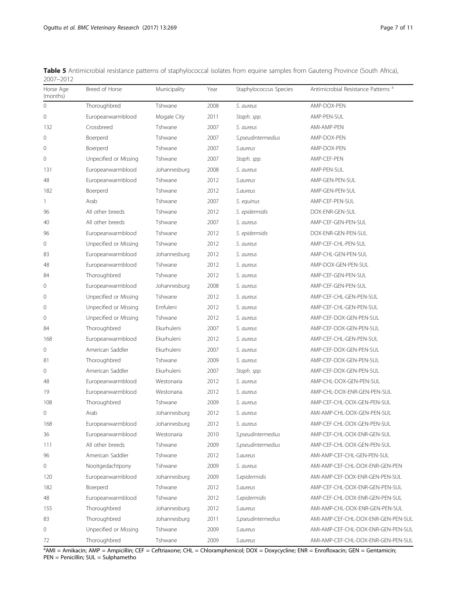<span id="page-6-0"></span>

| Table 5 Antimicrobial resistance patterns of staphylococcal isolates from equine samples from Gauteng Province (South Africa), |  |  |  |  |
|--------------------------------------------------------------------------------------------------------------------------------|--|--|--|--|
| 2007-2012                                                                                                                      |  |  |  |  |

| Horse Age<br>(months) | Breed of Horse        | Municipality | Year | Staphylococcus Species | Antimicrobial Resistance Patterns <sup>a</sup> |
|-----------------------|-----------------------|--------------|------|------------------------|------------------------------------------------|
| $\mathbf 0$           | Thoroughbred          | Tshwane      | 2008 | S. aureus              | AMP-DOX-PEN                                    |
| 0                     | Europeanwarmblood     | Mogale City  | 2011 | Staph. spp.            | AMP-PEN-SUL                                    |
| 132                   | Crossbreed            | Tshwane      | 2007 | S. aureus              | AMI-AMP-PEN                                    |
| 0                     | Boerperd              | Tshwane      | 2007 | S.pseudintermedius     | AMP-DOX-PEN                                    |
| $\mathbf 0$           | Boerperd              | Tshwane      | 2007 | <i>S.aureus</i>        | AMP-DOX-PEN                                    |
| 0                     | Unpecified or Missing | Tshwane      | 2007 | Staph. spp.            | AMP-CEF-PEN                                    |
| 131                   | Europeanwarmblood     | Johannesburg | 2008 | S. aureus              | AMP-PEN-SUL                                    |
| 48                    | Europeanwarmblood     | Tshwane      | 2012 | <i>S.aureus</i>        | AMP-GEN-PEN-SUL                                |
| 182                   | Boerperd              | Tshwane      | 2012 | S.aureus               | AMP-GEN-PEN-SUL                                |
| 1                     | Arab                  | Tshwane      | 2007 | S. equinus             | AMP-CEF-PEN-SUL                                |
| 96                    | All other breeds      | Tshwane      | 2012 | S. epidermidis         | DOX-ENR-GEN-SUL                                |
| 40                    | All other breeds      | Tshwane      | 2007 | S. aureus              | AMP-CEF-GEN-PEN-SUL                            |
| 96                    | Europeanwarmblood     | Tshwane      | 2012 | S. epidermidis         | DOX-ENR-GEN-PEN-SUL                            |
| 0                     | Unpecified or Missing | Tshwane      | 2012 | S. aureus              | AMP-CEF-CHL-PEN-SUL                            |
| 83                    | Europeanwarmblood     | Johannesburg | 2012 | S. aureus              | AMP-CHL-GEN-PEN-SUL                            |
| 48                    | Europeanwarmblood     | Tshwane      | 2012 | S. aureus              | AMP-DOX-GEN-PEN-SUL                            |
| 84                    | Thoroughbred          | Tshwane      | 2012 | S. aureus              | AMP-CEF-GEN-PEN-SUL                            |
| 0                     | Europeanwarmblood     | Johannesburg | 2008 | S. aureus              | AMP-CEF-GEN-PEN-SUL                            |
| $\mathbf 0$           | Unpecified or Missing | Tshwane      | 2012 | S. aureus              | AMP-CEF-CHL-GEN-PEN-SUL                        |
| 0                     | Unpecified or Missing | Emfuleni     | 2012 | S. aureus              | AMP-CEF-CHL-GEN-PEN-SUL                        |
| 0                     | Unpecified or Missing | Tshwane      | 2012 | S. aureus              | AMP-CEF-DOX-GEN-PEN-SUL                        |
| 84                    | Thoroughbred          | Ekurhuleni   | 2007 | S. aureus              | AMP-CEF-DOX-GEN-PEN-SUL                        |
| 168                   | Europeanwarmblood     | Ekurhuleni   | 2012 | S. aureus              | AMP-CEF-CHL-GEN-PEN-SUL                        |
| 0                     | American Saddler      | Ekurhuleni   | 2007 | S. aureus              | AMP-CEF-DOX-GEN-PEN-SUL                        |
| 81                    | Thoroughbred          | Tshwane      | 2009 | S. aureus              | AMP-CEF-DOX-GEN-PEN-SUL                        |
| 0                     | American Saddler      | Ekurhuleni   | 2007 | Staph. spp.            | AMP-CEF-DOX-GEN-PEN-SUL                        |
| 48                    | Europeanwarmblood     | Westonaria   | 2012 | S. aureus              | AMP-CHL-DOX-GEN-PEN-SUL                        |
| 19                    | Europeanwarmblood     | Westonaria   | 2012 | S. aureus              | AMP-CHL-DOX-ENR-GEN-PEN-SUL                    |
| 108                   | Thoroughbred          | Tshwane      | 2009 | S. aureus              | AMP-CEF-CHL-DOX-GEN-PEN-SUL                    |
| 0                     | Arab                  | Johannesburg | 2012 | S. aureus              | AMI-AMP-CHL-DOX-GEN-PEN-SUL                    |
| 168                   | Europeanwarmblood     | Johannesburg | 2012 | S. aureus              | AMP-CEF-CHL-DOX-GEN-PEN-SUL                    |
| 36                    | Europeanwarmblood     | Westonaria   | 2010 | S.pseudintermedius     | AMP-CEF-CHL-DOX-ENR-GEN-SUL                    |
| 111                   | All other breeds      | Tshwane      | 2009 | S.pseudintermedius     | AMP-CEF-CHL-DOX-GEN-PEN-SUL                    |
| 96                    | American Saddler      | Tshwane      | 2012 | S.aureus               | AMI-AMP-CEF-CHL-GEN-PEN-SUL                    |
| 0                     | Nooitgedachtpony      | Tshwane      | 2009 | S. aureus              | AMI-AMP-CEF-CHL-DOX-ENR-GEN-PEN                |
| 120                   | Europeanwarmblood     | Johannesburg | 2009 | S.epidermidis          | AMI-AMP-CEF-DOX-ENR-GEN-PEN-SUL                |
| 182                   | Boerperd              | Tshwane      | 2012 | S.aureus               | AMP-CEF-CHL-DOX-ENR-GEN-PEN-SUL                |
| 48                    | Europeanwarmblood     | Tshwane      | 2012 | S.epidermidis          | AMP-CEF-CHL-DOX-ENR-GEN-PEN-SUL                |
| 155                   | Thoroughbred          | Johannesburg | 2012 | S.aureus               | AMI-AMP-CHL-DOX-ENR-GEN-PEN-SUL                |
| 83                    | Thoroughbred          | Johannesburg | 2011 | S.pseudintermedius     | AMI-AMP-CEF-CHL-DOX-ENR-GEN-PEN-SUL            |
| 0                     | Unpecified or Missing | Tshwane      | 2009 | S.aureus               | AMI-AMP-CEF-CHL-DOX-ENR-GEN-PEN-SUL            |
| 72                    | Thoroughbred          | Tshwane      | 2009 | S.aureus               | AMI-AMP-CEF-CHL-DOX-ENR-GEN-PEN-SUL            |

a AMI = Amikacin; AMP = Ampicillin; CEF = Ceftriaxone; CHL = Chloramphenicol; DOX = Doxycycline; ENR = Enrofloxacin; GEN = Gentamicin; PEN = Penicillin; SUL = Sulphametho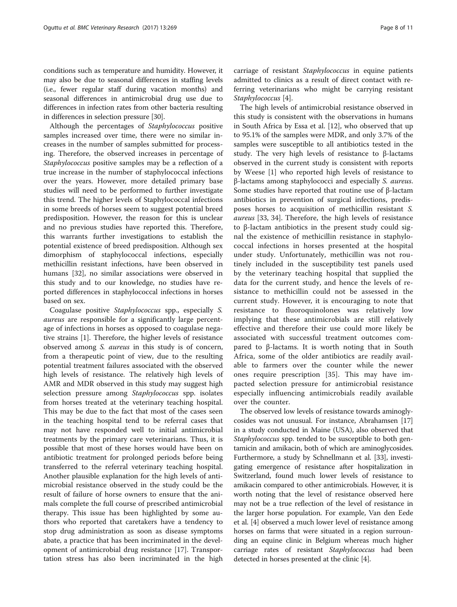conditions such as temperature and humidity. However, it may also be due to seasonal differences in staffing levels (i.e., fewer regular staff during vacation months) and seasonal differences in antimicrobial drug use due to differences in infection rates from other bacteria resulting in differences in selection pressure [\[30\]](#page-9-0).

Although the percentages of Staphylococcus positive samples increased over time, there were no similar increases in the number of samples submitted for processing. Therefore, the observed increases in percentage of Staphylococcus positive samples may be a reflection of a true increase in the number of staphylococcal infections over the years. However, more detailed primary base studies will need to be performed to further investigate this trend. The higher levels of Staphylococcal infections in some breeds of horses seem to suggest potential breed predisposition. However, the reason for this is unclear and no previous studies have reported this. Therefore, this warrants further investigations to establish the potential existence of breed predisposition. Although sex dimorphism of staphylococcal infections, especially methicillin resistant infections, have been observed in humans [[32\]](#page-9-0), no similar associations were observed in this study and to our knowledge, no studies have reported differences in staphylococcal infections in horses based on sex.

Coagulase positive Staphylococcus spp., especially S. aureus are responsible for a significantly large percentage of infections in horses as opposed to coagulase negative strains [\[1](#page-9-0)]. Therefore, the higher levels of resistance observed among S. aureus in this study is of concern, from a therapeutic point of view, due to the resulting potential treatment failures associated with the observed high levels of resistance. The relatively high levels of AMR and MDR observed in this study may suggest high selection pressure among Staphylococcus spp. isolates from horses treated at the veterinary teaching hospital. This may be due to the fact that most of the cases seen in the teaching hospital tend to be referral cases that may not have responded well to initial antimicrobial treatments by the primary care veterinarians. Thus, it is possible that most of these horses would have been on antibiotic treatment for prolonged periods before being transferred to the referral veterinary teaching hospital. Another plausible explanation for the high levels of antimicrobial resistance observed in the study could be the result of failure of horse owners to ensure that the animals complete the full course of prescribed antimicrobial therapy. This issue has been highlighted by some authors who reported that caretakers have a tendency to stop drug administration as soon as disease symptoms abate, a practice that has been incriminated in the development of antimicrobial drug resistance [[17](#page-9-0)]. Transportation stress has also been incriminated in the high carriage of resistant Staphylococcus in equine patients admitted to clinics as a result of direct contact with referring veterinarians who might be carrying resistant Staphylococcus [[4](#page-9-0)].

The high levels of antimicrobial resistance observed in this study is consistent with the observations in humans in South Africa by Essa et al. [\[12](#page-9-0)], who observed that up to 95.1% of the samples were MDR, and only 3.7% of the samples were susceptible to all antibiotics tested in the study. The very high levels of resistance to β-lactams observed in the current study is consistent with reports by Weese [[1\]](#page-9-0) who reported high levels of resistance to β-lactams among staphylococci and especially S. aureus. Some studies have reported that routine use of β-lactam antibiotics in prevention of surgical infections, predisposes horses to acquisition of methicillin resistant S. aureus [\[33](#page-9-0), [34](#page-10-0)]. Therefore, the high levels of resistance to β-lactam antibiotics in the present study could signal the existence of methicillin resistance in staphylococcal infections in horses presented at the hospital under study. Unfortunately, methicillin was not routinely included in the susceptibility test panels used by the veterinary teaching hospital that supplied the data for the current study, and hence the levels of resistance to methicillin could not be assessed in the current study. However, it is encouraging to note that resistance to fluoroquinolones was relatively low implying that these antimicrobials are still relatively effective and therefore their use could more likely be associated with successful treatment outcomes compared to β-lactams. It is worth noting that in South Africa, some of the older antibiotics are readily available to farmers over the counter while the newer ones require prescription [\[35](#page-10-0)]. This may have impacted selection pressure for antimicrobial resistance especially influencing antimicrobials readily available over the counter.

The observed low levels of resistance towards aminoglycosides was not unusual. For instance, Abrahamsen [[17](#page-9-0)] in a study conducted in Maine (USA), also observed that Staphylococcus spp. tended to be susceptible to both gentamicin and amikacin, both of which are aminoglycosides. Furthermore, a study by Schnellmann et al. [[33](#page-9-0)], investigating emergence of resistance after hospitalization in Switzerland, found much lower levels of resistance to amikacin compared to other antimicrobials. However, it is worth noting that the level of resistance observed here may not be a true reflection of the level of resistance in the larger horse population. For example, Van den Eede et al. [[4\]](#page-9-0) observed a much lower level of resistance among horses on farms that were situated in a region surrounding an equine clinic in Belgium whereas much higher carriage rates of resistant Staphylococcus had been detected in horses presented at the clinic [[4\]](#page-9-0).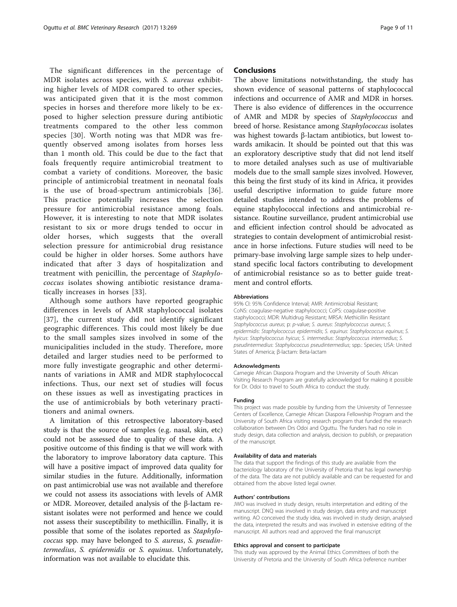The significant differences in the percentage of MDR isolates across species, with S. aureus exhibiting higher levels of MDR compared to other species, was anticipated given that it is the most common species in horses and therefore more likely to be exposed to higher selection pressure during antibiotic treatments compared to the other less common species [\[30\]](#page-9-0). Worth noting was that MDR was frequently observed among isolates from horses less than 1 month old. This could be due to the fact that foals frequently require antimicrobial treatment to combat a variety of conditions. Moreover, the basic principle of antimicrobial treatment in neonatal foals is the use of broad-spectrum antimicrobials [[36](#page-10-0)]. This practice potentially increases the selection pressure for antimicrobial resistance among foals. However, it is interesting to note that MDR isolates resistant to six or more drugs tended to occur in older horses, which suggests that the overall selection pressure for antimicrobial drug resistance could be higher in older horses. Some authors have indicated that after 3 days of hospitalization and treatment with penicillin, the percentage of Staphylococcus isolates showing antibiotic resistance dramatically increases in horses [\[33](#page-9-0)].

Although some authors have reported geographic differences in levels of AMR staphylococcal isolates [[37](#page-10-0)], the current study did not identify significant geographic differences. This could most likely be due to the small samples sizes involved in some of the municipalities included in the study. Therefore, more detailed and larger studies need to be performed to more fully investigate geographic and other determinants of variations in AMR and MDR staphylococcal infections. Thus, our next set of studies will focus on these issues as well as investigating practices in the use of antimicrobials by both veterinary practitioners and animal owners.

A limitation of this retrospective laboratory-based study is that the source of samples (e.g. nasal, skin, etc) could not be assessed due to quality of these data. A positive outcome of this finding is that we will work with the laboratory to improve laboratory data capture. This will have a positive impact of improved data quality for similar studies in the future. Additionally, information on past antimicrobial use was not available and therefore we could not assess its associations with levels of AMR or MDR. Moreover, detailed analysis of the β-lactam resistant isolates were not performed and hence we could not assess their susceptibility to methicillin. Finally, it is possible that some of the isolates reported as Staphylococcus spp. may have belonged to S. aureus, S. pseudintermedius, S. epidermidis or S. equinus. Unfortunately, information was not available to elucidate this.

# **Conclusions**

The above limitations notwithstanding, the study has shown evidence of seasonal patterns of staphylococcal infections and occurrence of AMR and MDR in horses. There is also evidence of differences in the occurrence of AMR and MDR by species of Staphylococcus and breed of horse. Resistance among Staphylococcus isolates was highest towards β-lactam antibiotics, but lowest towards amikacin. It should be pointed out that this was an exploratory descriptive study that did not lend itself to more detailed analyses such as use of multivariable models due to the small sample sizes involved. However, this being the first study of its kind in Africa, it provides useful descriptive information to guide future more detailed studies intended to address the problems of equine staphylococcal infections and antimicrobial resistance. Routine surveillance, prudent antimicrobial use and efficient infection control should be advocated as strategies to contain development of antimicrobial resistance in horse infections. Future studies will need to be primary-base involving large sample sizes to help understand specific local factors contributing to development of antimicrobial resistance so as to better guide treatment and control efforts.

#### **Abbreviations**

95% CI: 95% Confidence Interval; AMR: Antimicrobial Resistant; CoNS: coagulase-negative staphylococci; CoPS: coagulase-positive staphylococci; MDR: Multidrug Resistant; MRSA: Methicillin Resistant Staphylococcus aureus; p: p-value; S. aureus: Staphylococcus aureus; S. epidermidis: Staphylococcus epidermidis; S. equinus: Staphylococcus equinus; S. hyicus: Staphylococcus hyicus; S. intermedius: Staphylococcus intermedius; S. pseudintermedius: Staphylococcus pseudintermedius; spp.: Species; USA: United States of America; β-lactam: Beta-lactam

#### Acknowledgments

Carnegie African Diaspora Program and the University of South African Visiting Research Program are gratefully acknowledged for making it possible for Dr. Odoi to travel to South Africa to conduct the study.

#### Funding

This project was made possible by funding from the University of Tennessee Centers of Excellence, Carnegie African Diaspora Fellowship Program and the University of South Africa visiting research program that funded the research collaboration between Drs Odoi and Oguttu. The funders had no role in study design, data collection and analysis, decision to publish, or preparation of the manuscript.

#### Availability of data and materials

The data that support the findings of this study are available from the bacteriology laboratory of the University of Pretoria that has legal ownership of the data. The data are not publicly available and can be requested for and obtained from the above listed legal owner.

#### Authors' contributions

JWO was involved in study design, results interpretation and editing of the manuscript. DNQ was involved in study design, data entry and manuscript writing. AO conceived the study idea, was involved in study design, analysed the data, interpreted the results and was involved in extensive editing of the manuscript. All authors read and approved the final manuscript

#### Ethics approval and consent to participate

This study was approved by the Animal Ethics Committees of both the University of Pretoria and the University of South Africa (reference number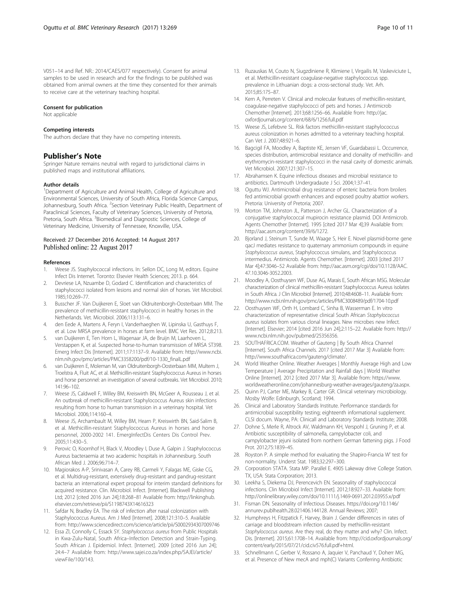<span id="page-9-0"></span>V051–14 and Ref. NR.: 2014/CAES/077 respectively). Consent for animal samples to be used in research and for the findings to be published was obtained from animal owners at the time they consented for their animals to receive care at the veterinary teaching hospital.

#### Consent for publication

Not applicable

#### Competing interests

The authors declare that they have no competing interests.

### Publisher's Note

Springer Nature remains neutral with regard to jurisdictional claims in published maps and institutional affiliations.

#### Author details

<sup>1</sup>Department of Agriculture and Animal Health, College of Agriculture and Environmental Sciences, University of South Africa, Florida Science Campus, Johannesburg, South Africa. <sup>2</sup>Section Veterinary Public Health, Department of Paraclinical Sciences, Faculty of Veterinary Sciences, University of Pretoria, Pretoria, South Africa. <sup>3</sup>Biomedical and Diagnostic Sciences, College of Veterinary Medicine, University of Tennessee, Knoxville, USA.

#### Received: 27 December 2016 Accepted: 14 August 2017 Published online: 22 August 2017

#### References

- 1. Weese JS. Staphylococcal infections. In: Sellon DC, Long M, editors. Equine Infect Dis Internet. Toronto: Elsevier Health Sciences; 2013. p. 664.
- 2. Devriese LA, Nzuambe D, Godard C. Identification and characteristics of staphylococci isolated from lesions and normal skin of horses. Vet Microbiol. 1985;10:269–77.
- 3. Busscher JF. Van Duijkeren E, Sloet van Oldruitenborgh-Oosterbaan MM. The prevalence of methicillin-resistant staphylococci in healthy horses in the Netherlands. Vet. Microbiol. 2006;113:131–6.
- 4. den Eede A, Martens A, Feryn I, Vanderhaeghen W, Lipinska U, Gasthuys F, et al. Low MRSA prevalence in horses at farm level. BMC Vet Res. 2012;8:213.
- van Duijkeren E, Ten Horn L, Wagenaar JA, de Bruijn M, Laarhoven L, Verstappen K, et al. Suspected horse-to-human transmission of MRSA ST398. Emerg Infect Dis [Internet]. 2011;17:1137–9. Available from: [http://www.ncbi.](http://www.ncbi.nlm.nih.gov/pmc/articles/PMC3358200/pdf/10-1330_finalL.pdf) [nlm.nih.gov/pmc/articles/PMC3358200/pdf/10-1330\\_finalL.pdf](http://www.ncbi.nlm.nih.gov/pmc/articles/PMC3358200/pdf/10-1330_finalL.pdf)
- 6. van Duijkeren E, Moleman M, van Oldruitenborgh-Oosterbaan MM, Multem J, Troelstra A, Fluit AC, et al. Methicillin-resistant Staphylococcus Aureus in horses and horse personnel: an investigation of several outbreaks. Vet Microbiol. 2010; 141:96–102.
- Weese JS, Caldwell F, Willey BM, Kreiswirth BN, McGeer A, Rousseau J, et al. An outbreak of methicillin-resistant Staphylococcus Aureus skin infections resulting from horse to human transmission in a veterinary hospital. Vet Microbiol. 2006;114:160–4.
- 8. Weese JS, Archambault M, Willey BM, Hearn P, Kreiswirth BN, Said-Salim B, et al. Methicillin-resistant Staphylococcus Aureus in horses and horse personnel, 2000-2002 141. EmergInfectDis Centers Dis Control Prev. 2005;11:430–5.
- 9. Perovic O, Koornhof H, Black V, Moodley I, Duse A, Galpin J. Staphylococcus Aureus bacteraemia at two academic hospitals in Johannesburg. South African Med J. 2006;96:714–7.
- 10. Magiorakos A-P, Srinivasan A, Carey RB, Carmeli Y, Falagas ME, Giske CG, et al. Multidrug-resistant, extensively drug-resistant and pandrug-resistant bacteria: an international expert proposal for interim standard definitions for acquired resistance. Clin. Microbiol. Infect. [Internet]. Blackwell Publishing Ltd; 2012 [cited 2016 Jun 24];18:268–81 Available from: [http://linkinghub.](http://linkinghub.elsevier.com/retrieve/pii/S1198743X14616323) [elsevier.com/retrieve/pii/S1198743X14616323](http://linkinghub.elsevier.com/retrieve/pii/S1198743X14616323)
- 11. Safdar N, Bradley EA. The risk of infection after nasal colonization with Staphylococcus Aureus. Am J Med [Internet]. 2008;121:310–5. Available from:<http://www.sciencedirect.com/science/article/pii/S0002934307009746>
- 12. Essa ZI, Connolly C, Essack SY. Staphylococcus aureus from Public Hospitals in Kwa-Zulu-Natal, South Africa–Infection Detection and Strain-Typing. South African J. Epidemiol. Infect. [Internet]. 2009 [cited 2016 Jun 24]; 24:4–7 Available from: [http://www.sajei.co.za/index.php/SAJEI/article/](http://www.sajei.co.za/index.php/SAJEI/article/viewFile/100/143) [viewFile/100/143](http://www.sajei.co.za/index.php/SAJEI/article/viewFile/100/143).
- 13. Ruzauskas M, Couto N, Siugzdiniene R, Klimiene I, Virgailis M, Vaskeviciute L, et al. Methicillin-resistant coagulase-negative staphylococcus spp. prevalence in Lithuanian dogs: a cross-sectional study. Vet. Arh. 2015;85:175–87.
- 14. Kern A, Perreten V. Clinical and molecular features of methicillin-resistant, coagulase-negative staphylococci of pets and horses. J Antimicrob Chemother [Internet]. 2013;68:1256–66. Available from: [http://jac.](http://jac.oxfordjournals.org/content/68/6/1256.full.pdf) [oxfordjournals.org/content/68/6/1256.full.pdf](http://jac.oxfordjournals.org/content/68/6/1256.full.pdf)
- 15. Weese JS, Lefebvre SL. Risk factors methicillin-resistant staphylococcus aureus colonization in horses admitted to a veterinary teaching hospital. Can Vet J. 2007;48:921–6.
- 16. Bagcigil FA, Moodley A, Baptiste KE, Jensen VF, Guardabassi L. Occurrence, species distribution, antimicrobial resistance and clonality of methicillin- and erythromycin-resistant staphylococci in the nasal cavity of domestic animals. Vet Microbiol. 2007;121:307–15.
- 17. Abrahamsen K. Equine infectious diseases and microbial resistance to antibiotics. Dartmouth Undergradaute J Sci. 2004;1:37–41.
- 18. Oguttu WJ. Antimicrobial drug resistance of enteric bacteria from broilers fed antimicrobial growth enhancers and exposed poultry abattior workers. Pretoria: University of Pretoria; 2007.
- 19. Morton TM, Johnston JL, Patterson J, Archer GL. Characterization of a conjugative staphylococcal mupirocin resistance plasmid. DOI Antimicrob. Agents Chemother [Internet]. 1995 [cited 2017 Mar 4];39 Available from: [http://aac.asm.org/content/39/6/1272.](http://aac.asm.org/content/39/6/1272)
- 20. Bjorland J, Steinum T, Sunde M, Waage S, Heir E. Novel plasmid-borne gene qacJ mediates resistance to quaternary ammonium compounds in equine Staphylococcus aureus, Staphylococcus simulans, and Staphylococcus intermedius. Antimicrob. Agents Chemother. [Internet]. 2003 [cited 2017 Mar 4];47:3046–52 Available from: [http://aac.asm.org/cgi/doi/10.1128/AAC.](http://aac.asm.org/cgi/doi/10.1128/AAC.47.10.3046-3052.2003) [47.10.3046-3052.2003.](http://aac.asm.org/cgi/doi/10.1128/AAC.47.10.3046-3052.2003)
- 21. Moodley A, Oosthuysen WF, Duse AG, Marais E, South African MSG. Molecular characterization of clinical methicillin-resistant Staphylococcus Aureus isolates in South Africa. J Clin Microbiol [Internet]. 2010;48:4608–11. Available from: <http://www.ncbi.nlm.nih.gov/pmc/articles/PMC3008489/pdf/1704-10.pdf>
- 22. Oosthuysen WF, Orth H, Lombard C, Sinha B, Wasserman E. In vitro characterization of representative clinical South African Staphylococcus aureus isolates from various clonal lineages. New microbes new Infect. [Internet]. Elsevier; 2014 [cited 2016 Jun 24];2:115–22. Available from: [http://](http://www.ncbi.nlm.nih.gov/pubmed/25356356) [www.ncbi.nlm.nih.gov/pubmed/25356356.](http://www.ncbi.nlm.nih.gov/pubmed/25356356)
- 23. SOUTHAFRICA.COM. Weather of Gauteng | By South Africa Channel [Internet]. South Africa Channels. 2017 [cited 2017 Mar 3] Available from: [http://www.southafrica.com/gauteng/climate/.](http://www.southafrica.com/gauteng/climate/)
- World Weather Online. Weather Averages | Monthly Average High and Low Temperature | Average Precipitation and Rainfall days | World Weather Online [Internet]. 2012 [cited 2017 Mar 3]. Available from: [https://www.](https://www.worldweatheronline.com/johannesburg-weather-averages/gauteng/za.aspx) [worldweatheronline.com/johannesburg-weather-averages/gauteng/za.aspx.](https://www.worldweatheronline.com/johannesburg-weather-averages/gauteng/za.aspx)
- 25. Quinn PJ, Carter ME, Markey B, Carter GR. Clinical veterinary microbiology. Mosby Wolfe: Edinburgh, Scotland; 1994.
- 26. Clinical and Laboratory Standards Institute. Performance standards for antimicrobial susceptibility testing; eighteenth informational supplement. CLSI docum. Wayne, PA: Clinicall and Laboratory Standards Institute; 2008.
- 27. Dohne S, Merle R, Altrock AV, Waldmann KH, Verspohl J, Gruning P, et al. Antibiotic susceptibility of salmonella, campylobacter coli, and campylobacter jejuni isolated from northern German fattening pigs. J Food Prot. 2012;75:1839–45.
- 28. Royston P. A simple method for evaluating the Shapiro-Francia W' test for non-normality. Underst Stat. 1983;32:297–300.
- 29. Corporation STATA. Stata MP. Parallel E. 4905 Lakeway drive College Station. TX, USA: Stata Corporation; 2013.
- 30. Leekha S, Diekema DJ, Perencevich EN. Seasonality of staphylococcal infections. Clin Microbiol Infect [Internet]. 2012;18:927–33. Available from: <http://onlinelibrary.wiley.com/doi/10.1111/j.1469-0691.2012.03955.x/pdf>
- 31. Fisman DN. Seasonality of Infectious Diseases. [https://doi.org/10.1146/](https://doi.org/10.1146/annurev.publhealth.28.021406.144128) [annurev.publhealth.28.021406.144128](https://doi.org/10.1146/annurev.publhealth.28.021406.144128). Annual Reviews; 2007;
- 32. Humphreys H, Fitzpatick F, Harvey, Brain J. Gender differences in rates of carriage and bloodstream infection caused by methicillin-resistant Staphylococcus aureus. Are they real, do they matter and why? Clin. Infect. Dis. [Internet]. 2015;61:1708–14. Available from: [http://cid.oxfordjournals.org/](http://cid.oxfordjournals.org/content/early/2015/07/21/cid.civ576.full.pdf+html) [content/early/2015/07/21/cid.civ576.full.pdf+html](http://cid.oxfordjournals.org/content/early/2015/07/21/cid.civ576.full.pdf+html).
- 33. Schnellmann C, Gerber V, Rossano A, Jaquier V, Panchaud Y, Doherr MG, et al. Presence of New mecA and mph(C) Variants Conferring Antibiotic